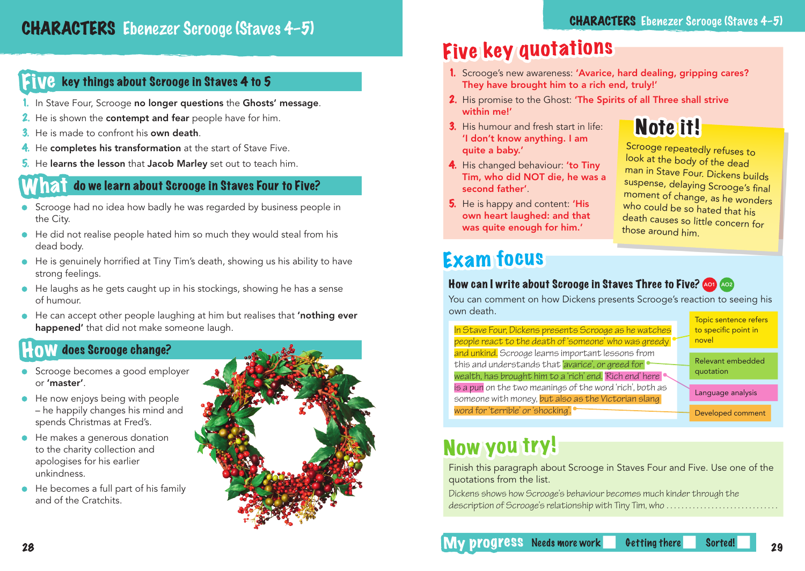#### Five key things about Scrooge in Staves 4 to 5

- 1. In Stave Four, Scrooge no longer questions the Ghosts' message.
- 2. He is shown the contempt and fear people have for him.
- 3. He is made to confront his **own death**.
- 4. He completes his transformation at the start of Stave Five.
- 5. He learns the lesson that Jacob Marley set out to teach him.

#### **121 do we learn about Scrooge in Staves Four to Five?**

- Scrooge had no idea how badly he was regarded by business people in the City.
- He did not realise people hated him so much they would steal from his dead body.
- He is genuinely horrified at Tiny Tim's death, showing us his ability to have strong feelings.
- He laughs as he gets caught up in his stockings, showing he has a sense of humour.
- He can accept other people laughing at him but realises that 'nothing ever happened' that did not make someone laugh.

#### **HOW** does Scrooge change?

- Scrooge becomes a good employer or 'master'.
- He now enjoys being with people – he happily changes his mind and spends Christmas at Fred's.
- He makes a generous donation to the charity collection and apologises for his earlier unkindness.
- He becomes a full part of his family and of the Cratchits.



Note it!

# Five key quotations

- 1. Scrooge's new awareness: 'Avarice, hard dealing, gripping cares? They have brought him to a rich end, truly!'
- 2. His promise to the Ghost: 'The Spirits of all Three shall strive within me!'
- 3. His humour and fresh start in life: 'I don't know anything. I am quite a baby.'
- 4. His changed behaviour: 'to Tiny Tim, who did NOT die, he was a second father'.
- 5. He is happy and content: 'His own heart laughed: and that was quite enough for him.'

# **Exam focus**

#### How can I write about Scrooge in Staves Three to Five? And Ao2

You can comment on how Dickens presents Scrooge's reaction to seeing his own death. In Stave Four, Dickens presents Scrooge as he watches people react to the death of 'someone' who was greedy and unkind. Scrooge learns important lessons from this and understands that 'avarice', or greed for wealth, has brought him to a 'rich' end. 'Rich end' here is a pun on the two meanings of the word 'rich', both as someone with money, but also as the Victorian slang word for 'terrible' or 'shocking'. Topic sentence refers to specific point in novel Relevant embedded quotation Language analysis Developed comment

### Now you try!

Finish this paragraph about Scrooge in Staves Four and Five. Use one of the quotations from the list.

Dickens shows how Scrooge's behaviour becomes much kinder through the description of Scrooge's relationship with Tiny Tim, who ..............................

28 28 28 My progress Needs more work Getting there Sorted! 29

Scrooge repeatedly refuses to look at the body of the dead man in Stave Four. Dickens builds suspense, delaying Scrooge's final moment of change, as he wonders who could be so hated that his death causes so little concern for those around him.